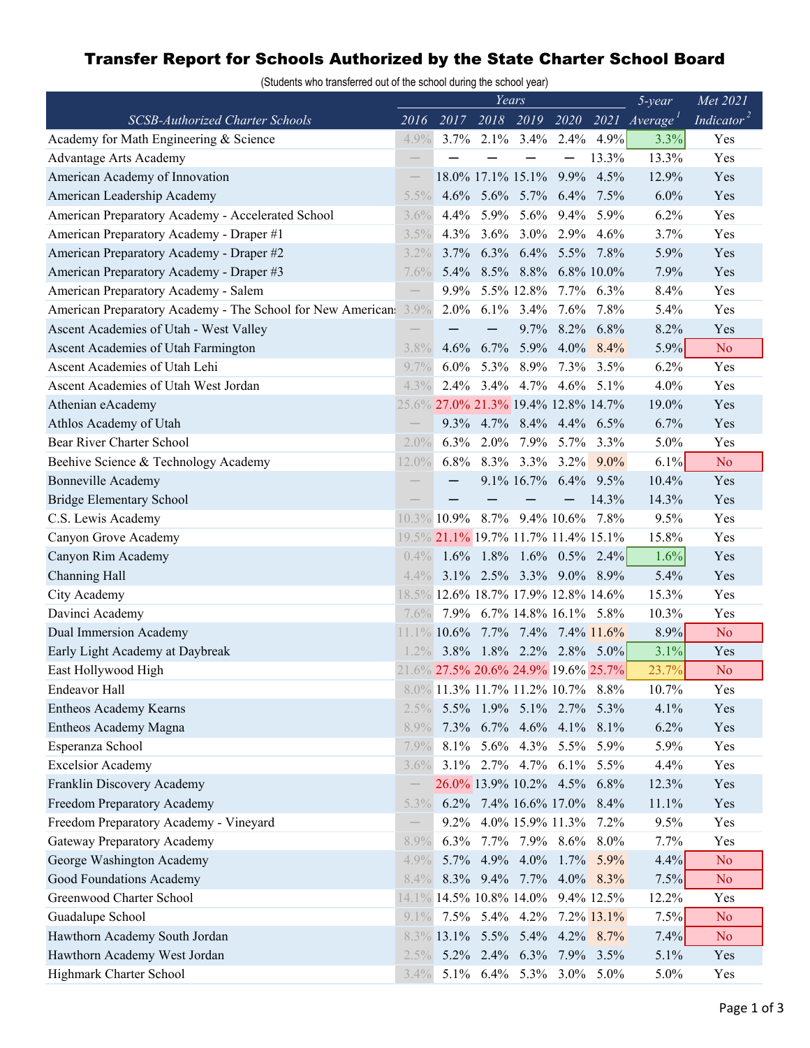## Transfer Report for Schools Authorized by the State Charter School Board

(Students who transferred out of the school during the school year)

|                                                            | Years                    |         |      |                                     |                |           | $5$ -year                   | Met 2021               |
|------------------------------------------------------------|--------------------------|---------|------|-------------------------------------|----------------|-----------|-----------------------------|------------------------|
| SCSB-Authorized Charter Schools                            | 2016                     | 2017    |      |                                     |                |           | 2018 2019 2020 2021 Average | Indicator <sup>2</sup> |
| Academy for Math Engineering & Science                     | 4.9%                     | $3.7\%$ |      | $2.1\%$ 3.4% $2.4\%$                |                | 4.9%      | 3.3%                        | Yes                    |
| Advantage Arts Academy                                     | $\qquad \qquad -$        |         |      |                                     |                | 13.3%     | 13.3%                       | Yes                    |
| American Academy of Innovation                             | $\qquad \qquad -$        |         |      | 18.0% 17.1% 15.1%                   |                | 9.9% 4.5% | 12.9%                       | Yes                    |
| American Leadership Academy                                | 5.5%                     |         |      | 4.6% 5.6% 5.7% 6.4% 7.5%            |                |           | 6.0%                        | Yes                    |
| American Preparatory Academy - Accelerated School          | 3.6%                     |         |      | 4.4% 5.9% 5.6% 9.4% 5.9%            |                |           | 6.2%                        | Yes                    |
| American Preparatory Academy - Draper #1                   | 3.5%                     |         |      | 4.3% 3.6% 3.0% 2.9% 4.6%            |                |           | 3.7%                        | Yes                    |
| American Preparatory Academy - Draper #2                   | $3.2\%$                  |         |      | 3.7% 6.3% 6.4% 5.5% 7.8%            |                |           | 5.9%                        | Yes                    |
| American Preparatory Academy - Draper #3                   | $7.6\%$                  |         |      | 5.4% 8.5% 8.8% 6.8% 10.0%           |                |           | 7.9%                        | Yes                    |
| American Preparatory Academy - Salem                       |                          | $9.9\%$ |      | 5.5% 12.8% 7.7% 6.3%                |                |           | 8.4%                        | Yes                    |
| American Preparatory Academy - The School for New American | 3.9%                     | $2.0\%$ |      | 6.1% 3.4% 7.6% 7.8%                 |                |           | 5.4%                        | Yes                    |
| Ascent Academies of Utah - West Valley                     |                          |         |      |                                     | 9.7% 8.2% 6.8% |           | 8.2%                        | Yes                    |
| Ascent Academies of Utah Farmington                        | 3.8%                     | $4.6\%$ |      | 6.7% 5.9% 4.0% 8.4%                 |                |           | 5.9%                        | N <sub>o</sub>         |
| Ascent Academies of Utah Lehi                              | $9.7\%$                  | $6.0\%$ | 5.3% | 8.9%                                |                | 7.3% 3.5% | 6.2%                        | Yes                    |
| Ascent Academies of Utah West Jordan                       | $4.3\%$                  |         |      | 2.4% 3.4% 4.7% 4.6% 5.1%            |                |           | 4.0%                        | Yes                    |
| Athenian eAcademy                                          |                          |         |      | 25.6% 27.0% 21.3% 19.4% 12.8% 14.7% |                |           | 19.0%                       | Yes                    |
| Athlos Academy of Utah                                     |                          |         |      | 9.3% 4.7% 8.4% 4.4% 6.5%            |                |           | 6.7%                        | Yes                    |
| Bear River Charter School                                  | $2.0\%$                  |         |      | 6.3% 2.0% 7.9% 5.7% 3.3%            |                |           | 5.0%                        | Yes                    |
| Beehive Science & Technology Academy                       | 12.0%                    |         |      | 6.8% 8.3% 3.3% 3.2% 9.0%            |                |           | $6.1\%$                     | N <sub>o</sub>         |
| <b>Bonneville Academy</b>                                  |                          |         |      | 9.1% 16.7% 6.4% 9.5%                |                |           | 10.4%                       | Yes                    |
| <b>Bridge Elementary School</b>                            |                          |         |      |                                     |                | 14.3%     | 14.3%                       | Yes                    |
| C.S. Lewis Academy                                         |                          |         |      | 10.3% 10.9% 8.7% 9.4% 10.6% 7.8%    |                |           | 9.5%                        | Yes                    |
| Canyon Grove Academy                                       |                          |         |      | 19.5% 21.1% 19.7% 11.7% 11.4% 15.1% |                |           | 15.8%                       | Yes                    |
| Canyon Rim Academy                                         |                          |         |      | $0.4\%$ 1.6% 1.8% 1.6% 0.5% 2.4%    |                |           | 1.6%                        | Yes                    |
| Channing Hall                                              | $4.4\%$                  |         |      | 3.1% 2.5% 3.3% 9.0% 8.9%            |                |           | 5.4%                        | Yes                    |
| City Academy                                               |                          |         |      | 18.5% 12.6% 18.7% 17.9% 12.8% 14.6% |                |           | 15.3%                       | Yes                    |
| Davinci Academy                                            | $7.6\%$                  |         |      | 7.9% 6.7% 14.8% 16.1% 5.8%          |                |           | 10.3%                       | Yes                    |
| <b>Dual Immersion Academy</b>                              |                          |         |      | 11.1% 10.6% 7.7% 7.4% 7.4% 11.6%    |                |           | 8.9%                        | No.                    |
| Early Light Academy at Daybreak                            | $1.2\%$                  |         |      | $3.8\%$ 1.8% 2.2% 2.8% 5.0%         |                |           | 3.1%                        | Yes                    |
| East Hollywood High                                        |                          |         |      | 21.6% 27.5% 20.6% 24.9% 19.6% 25.7% |                |           | 23.7%                       | N <sub>o</sub>         |
| Endeavor Hall                                              |                          |         |      | 8.0% 11.3% 11.7% 11.2% 10.7% 8.8%   |                |           | 10.7%                       | Yes                    |
| <b>Entheos Academy Kearns</b>                              | $2.5\%$                  |         |      | 5.5% 1.9% 5.1% 2.7% 5.3%            |                |           | 4.1%                        | Yes                    |
| Entheos Academy Magna                                      | 8.9%                     |         |      | 7.3% 6.7% 4.6% 4.1% 8.1%            |                |           | 6.2%                        | Yes                    |
| Esperanza School                                           | $7.9\%$                  |         |      | 8.1% 5.6% 4.3% 5.5% 5.9%            |                |           | 5.9%                        | Yes                    |
| <b>Excelsior Academy</b>                                   | $3.6\%$                  |         |      | 3.1% 2.7% 4.7% 6.1% 5.5%            |                |           | 4.4%                        | Yes                    |
| Franklin Discovery Academy                                 |                          |         |      | 26.0% 13.9% 10.2% 4.5% 6.8%         |                |           | 12.3%                       | Yes                    |
| Freedom Preparatory Academy                                | $5.3\%$                  |         |      | 6.2% 7.4% 16.6% 17.0% 8.4%          |                |           | 11.1%                       | Yes                    |
| Freedom Preparatory Academy - Vineyard                     | $\overline{\phantom{0}}$ |         |      | 9.2% 4.0% 15.9% 11.3% 7.2%          |                |           | 9.5%                        | Yes                    |
| <b>Gateway Preparatory Academy</b>                         | 8.9%                     |         |      | 6.3% 7.7% 7.9% 8.6% 8.0%            |                |           | 7.7%                        | Yes                    |
| George Washington Academy                                  | $4.9\%$                  |         |      | 5.7% 4.9% 4.0% 1.7% 5.9%            |                |           | 4.4%                        | N <sub>o</sub>         |
| Good Foundations Academy                                   | $8.4\%$                  |         |      | 8.3% 9.4% 7.7% 4.0% 8.3%            |                |           | 7.5%                        | N <sub>o</sub>         |
| Greenwood Charter School                                   |                          |         |      | 14.1% 14.5% 10.8% 14.0% 9.4% 12.5%  |                |           | 12.2%                       | Yes                    |
| Guadalupe School                                           | $9.1\%$                  |         |      | 7.5% 5.4% 4.2% 7.2% 13.1%           |                |           | 7.5%                        | N <sub>o</sub>         |
| Hawthorn Academy South Jordan                              |                          |         |      | 8.3% 13.1% 5.5% 5.4% 4.2% 8.7%      |                |           | 7.4%                        | N <sub>o</sub>         |
| Hawthorn Academy West Jordan                               | $2.5\%$                  |         |      | 5.2% 2.4% 6.3% 7.9% 3.5%            |                |           | 5.1%                        | Yes                    |
| Highmark Charter School                                    | $3.4\%$                  |         |      | 5.1% 6.4% 5.3% 3.0% 5.0%            |                |           | 5.0%                        | Yes                    |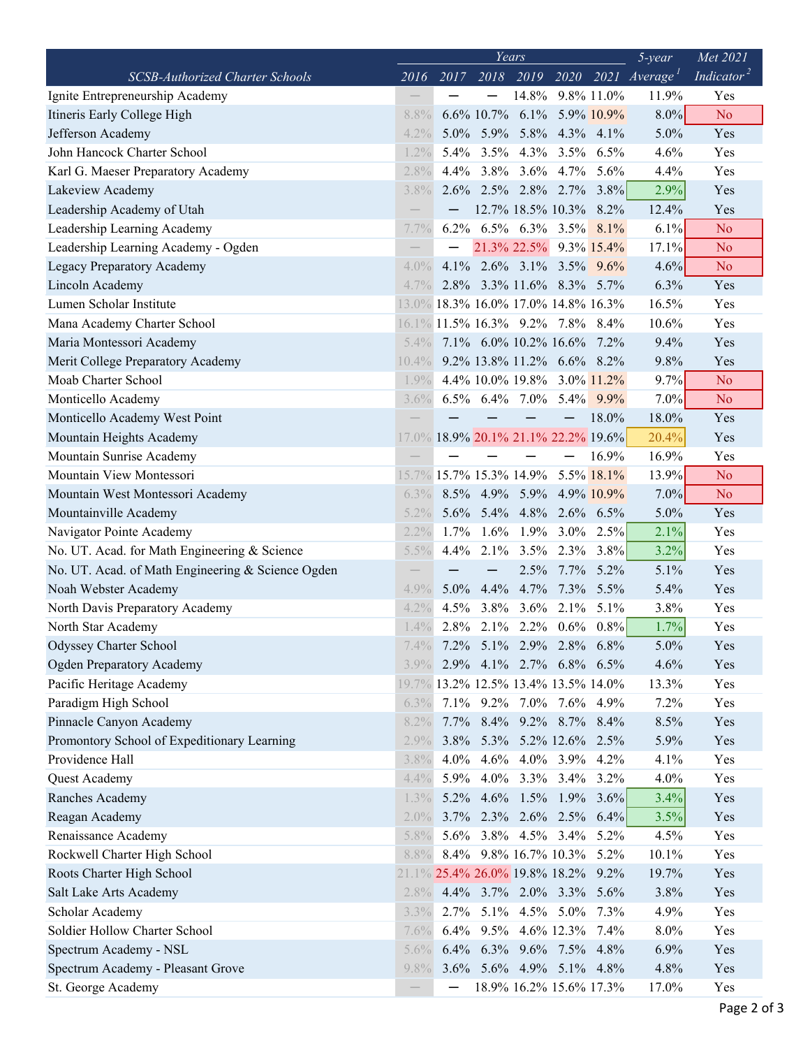|                                                                | Years<br>$5$ -year |         |   |                                         |   |                          |                             | Met 2021               |
|----------------------------------------------------------------|--------------------|---------|---|-----------------------------------------|---|--------------------------|-----------------------------|------------------------|
| <b>SCSB-Authorized Charter Schools</b>                         | 2016               | 2017    |   |                                         |   |                          | 2018 2019 2020 2021 Average | Indicator <sup>2</sup> |
| Ignite Entrepreneurship Academy                                |                    |         |   | 14.8% 9.8% 11.0%                        |   |                          | 11.9%                       | Yes                    |
| Itineris Early College High                                    | 8.8%               |         |   | $6.6\%$ 10.7% $6.1\%$ 5.9% 10.9%        |   |                          | $8.0\%$                     | N <sub>o</sub>         |
| Jefferson Academy                                              | $4.2\%$            |         |   | 5.0% 5.9% 5.8% 4.3% 4.1%                |   |                          | 5.0%                        | Yes                    |
| John Hancock Charter School                                    | 1.2%               |         |   | 5.4% 3.5% 4.3% 3.5% 6.5%                |   |                          | 4.6%                        | Yes                    |
| Karl G. Maeser Preparatory Academy                             | 2.8%               |         |   | 4.4% 3.8% 3.6% 4.7% 5.6%                |   |                          | 4.4%                        | Yes                    |
| Lakeview Academy                                               | $3.8\%$            |         |   | $2.6\%$ $2.5\%$ $2.8\%$ $2.7\%$ $3.8\%$ |   |                          | 2.9%                        | Yes                    |
| Leadership Academy of Utah                                     |                    |         |   | 12.7% 18.5% 10.3% 8.2%                  |   |                          | 12.4%                       | Yes                    |
| Leadership Learning Academy                                    | 7.7%               |         |   | 6.2% 6.5% 6.3% 3.5% 8.1%                |   |                          | 6.1%                        | N <sub>o</sub>         |
| Leadership Learning Academy - Ogden                            |                    |         |   | 21.3% 22.5% 9.3% 15.4%                  |   |                          | 17.1%                       | N <sub>o</sub>         |
| Legacy Preparatory Academy                                     | $4.0\%$            |         |   | 4.1% 2.6% 3.1% 3.5% $9.6\%$             |   |                          | 4.6%                        | N <sub>o</sub>         |
| Lincoln Academy                                                | $4.7\%$            |         |   | 2.8% 3.3% 11.6% 8.3% 5.7%               |   |                          | 6.3%                        | Yes                    |
| Lumen Scholar Institute                                        |                    |         |   | 13.0% 18.3% 16.0% 17.0% 14.8% 16.3%     |   |                          | 16.5%                       | Yes                    |
| Mana Academy Charter School                                    |                    |         |   | 16.1% 11.5% 16.3% 9.2% 7.8% 8.4%        |   |                          | 10.6%                       | Yes                    |
| Maria Montessori Academy                                       | $5.4\%$            |         |   | 7.1% 6.0% 10.2% 16.6% 7.2%              |   |                          | 9.4%                        | Yes                    |
| Merit College Preparatory Academy                              | 10.4%              |         |   | 9.2% 13.8% 11.2% 6.6% 8.2%              |   |                          | 9.8%                        | Yes                    |
| Moab Charter School                                            | $1.9\%$            |         |   | 4.4% 10.0% 19.8% 3.0% 11.2%             |   |                          | 9.7%                        | N <sub>o</sub>         |
| Monticello Academy                                             | $3.6\%$            |         |   | 6.5% 6.4% 7.0% 5.4% 9.9%                |   |                          | 7.0%                        | N <sub>o</sub>         |
| Monticello Academy West Point                                  |                    |         |   |                                         | — | 18.0%                    | 18.0%                       | Yes                    |
| Mountain Heights Academy                                       |                    |         |   | 17.0% 18.9% 20.1% 21.1% 22.2% 19.6%     |   |                          | 20.4%                       | Yes                    |
| Mountain Sunrise Academy                                       |                    |         |   |                                         |   | 16.9%                    | 16.9%                       | Yes                    |
| Mountain View Montessori                                       |                    |         |   | 15.7% 15.7% 15.3% 14.9% 5.5% 18.1%      |   |                          | 13.9%                       | N <sub>o</sub>         |
| Mountain West Montessori Academy                               | $6.3\%$            |         |   | 8.5% 4.9% 5.9% 4.9% 10.9%               |   |                          | 7.0%                        | N <sub>o</sub>         |
| Mountainville Academy                                          | $5.2\%$            |         |   | 5.6% 5.4% 4.8% 2.6% 6.5%                |   |                          | 5.0%                        | Yes                    |
| Navigator Pointe Academy                                       | 2.2%               |         |   | $1.7\%$ 1.6% 1.9% 3.0% 2.5%             |   |                          | 2.1%                        | Yes                    |
| No. UT. Acad. for Math Engineering & Science                   | 5.5%               | $4.4\%$ |   | $2.1\%$ 3.5% 2.3% 3.8%                  |   |                          | 3.2%                        | Yes                    |
| No. UT. Acad. of Math Engineering & Science Ogden              |                    |         | — |                                         |   | 2.5% 7.7% 5.2%           | 5.1%                        | Yes                    |
| Noah Webster Academy                                           | $4.9\%$            | $5.0\%$ |   | 4.4% 4.7% 7.3% 5.5%                     |   |                          | 5.4%                        | Yes                    |
| North Davis Preparatory Academy                                | 4.2%               |         |   | 4.5% 3.8% 3.6% 2.1% 5.1%                |   |                          | 3.8%                        | Yes                    |
| North Star Academy                                             | 1.4%               |         |   | $2.8\%$ 2.1% 2.2% 0.6% 0.8%             |   |                          | 1.7%                        | Yes                    |
| <b>Odyssey Charter School</b>                                  | 7.4%               |         |   | 7.2% 5.1% 2.9% 2.8% 6.8%                |   |                          | 5.0%                        | Yes                    |
| <b>Ogden Preparatory Academy</b>                               | $3.9\%$            |         |   | 2.9% 4.1% 2.7% 6.8% 6.5%                |   |                          | 4.6%                        | Yes                    |
| Pacific Heritage Academy                                       |                    |         |   | 19.7% 13.2% 12.5% 13.4% 13.5% 14.0%     |   |                          | 13.3%                       | Yes                    |
| Paradigm High School                                           | 6.3%               |         |   | 7.1% 9.2% 7.0% 7.6% 4.9%                |   |                          | 7.2%                        | Yes                    |
|                                                                |                    |         |   |                                         |   |                          |                             |                        |
| Pinnacle Canyon Academy                                        | 8.2%               |         |   | 7.7% 8.4% 9.2% 8.7% 8.4%                |   |                          | 8.5%                        | Yes                    |
| Promontory School of Expeditionary Learning<br>Providence Hall | 2.9%               |         |   | 3.8% 5.3% 5.2% 12.6% 2.5%               |   |                          | 5.9%                        | Yes                    |
|                                                                | 3.8%               |         |   | 4.0% 4.6% 4.0% 3.9% 4.2%                |   |                          | 4.1%                        | Yes                    |
| Quest Academy                                                  | 4.4%               |         |   | 5.9% 4.0% 3.3% 3.4% 3.2%                |   |                          | 4.0%                        | Yes                    |
| Ranches Academy                                                | 1.3%               |         |   |                                         |   | 5.2% 4.6% 1.5% 1.9% 3.6% | 3.4%                        | Yes                    |
| Reagan Academy                                                 | $2.0\%$            |         |   | 3.7% 2.3% 2.6% 2.5% 6.4%                |   |                          | 3.5%                        | Yes                    |
| Renaissance Academy                                            | 5.8%               |         |   | 5.6% 3.8% 4.5% 3.4% 5.2%                |   |                          | 4.5%                        | Yes                    |
| Rockwell Charter High School                                   | 8.8%               |         |   | 8.4% 9.8% 16.7% 10.3% 5.2%              |   |                          | 10.1%                       | Yes                    |
| Roots Charter High School                                      |                    |         |   | 21.1% 25.4% 26.0% 19.8% 18.2% 9.2%      |   |                          | 19.7%                       | Yes                    |
| Salt Lake Arts Academy                                         | $2.8\%$            |         |   | 4.4% 3.7% 2.0% 3.3% 5.6%                |   |                          | 3.8%                        | Yes                    |
| Scholar Academy                                                | 3.3%               |         |   | 2.7% 5.1% 4.5% 5.0% 7.3%                |   |                          | 4.9%                        | Yes                    |
| Soldier Hollow Charter School                                  | 7.6%               |         |   | 6.4% 9.5% 4.6% 12.3% 7.4%               |   |                          | 8.0%                        | Yes                    |
| Spectrum Academy - NSL                                         | 5.6%               |         |   | 6.4% 6.3% 9.6% 7.5% 4.8%                |   |                          | 6.9%                        | Yes                    |
| Spectrum Academy - Pleasant Grove                              | $9.8\%$            |         |   | 3.6% 5.6% 4.9% 5.1% 4.8%                |   |                          | 4.8%                        | Yes                    |
| St. George Academy                                             |                    |         |   | 18.9% 16.2% 15.6% 17.3%                 |   |                          | 17.0%                       | Yes                    |